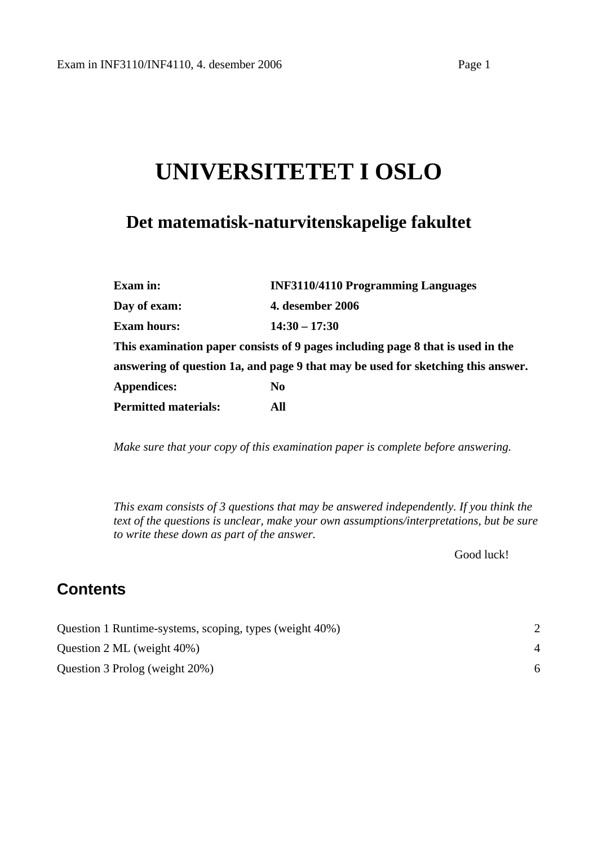# **UNIVERSITETET I OSLO**

## **Det matematisk-naturvitenskapelige fakultet**

| Exam in:                    | <b>INF3110/4110 Programming Languages</b>                                        |  |
|-----------------------------|----------------------------------------------------------------------------------|--|
| Day of exam:                | <b>4. desember 2006</b>                                                          |  |
| <b>Exam hours:</b>          | $14:30 - 17:30$                                                                  |  |
|                             | This examination paper consists of 9 pages including page 8 that is used in the  |  |
|                             | answering of question 1a, and page 9 that may be used for sketching this answer. |  |
| <b>Appendices:</b>          | N <sub>0</sub>                                                                   |  |
| <b>Permitted materials:</b> | All                                                                              |  |

*Make sure that your copy of this examination paper is complete before answering.*

*This exam consists of 3 questions that may be answered independently. If you think the text of the questions is unclear, make your own assumptions/interpretations, but be sure to write these down as part of the answer.* 

Good luck!

## **Contents**

| Question 1 Runtime-systems, scoping, types (weight 40%) |  |
|---------------------------------------------------------|--|
| Question 2 ML (weight $40\%$ )                          |  |
| Question 3 Prolog (weight 20%)                          |  |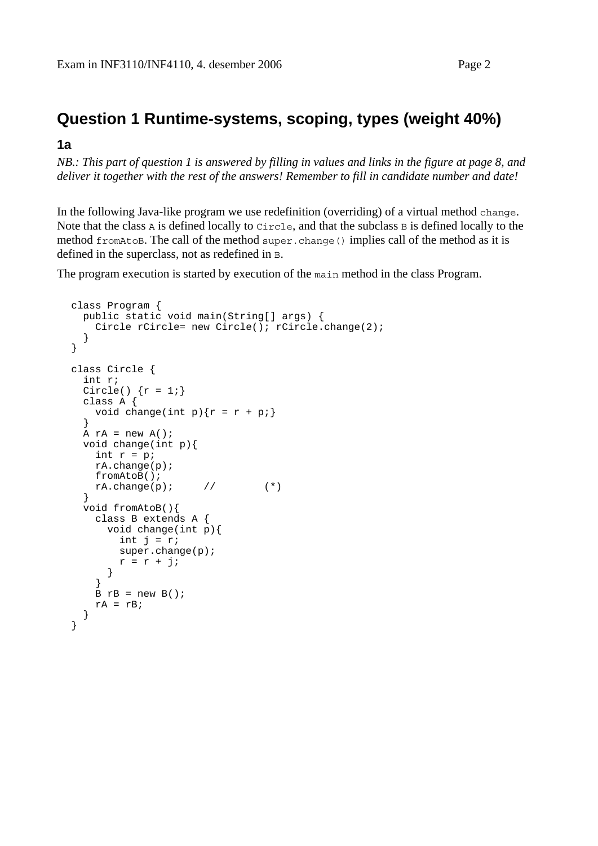## <span id="page-1-0"></span>**Question 1 Runtime-systems, scoping, types (weight 40%)**

#### **1a**

*NB.: This part of question 1 is answered by filling in values and links in the figure at page 8, and deliver it together with the rest of the answers! Remember to fill in candidate number and date!* 

In the following Java-like program we use redefinition (overriding) of a virtual method change. Note that the class  $\overline{A}$  is defined locally to Circle, and that the subclass  $\overline{B}$  is defined locally to the method fromAtoB. The call of the method super.change() implies call of the method as it is defined in the superclass, not as redefined in B.

The program execution is started by execution of the main method in the class Program.

```
class Program { 
   public static void main(String[] args) { 
    Circle rCircle= new Circle(); rCircle.change(2);
   } 
} 
class Circle { 
   int r; 
  Circle() \{r = 1\} class A { 
    void change(int p) {r = r + p;}
 } 
  A rA = new A();
   void change(int p){ 
   int r = pi rA.change(p); 
    fromAtoB(); 
   rA.change(p); // (*)
   } 
   void fromAtoB(){ 
     class B extends A { 
       void change(int p){ 
        int j = r;
         super.change(p); 
        r = r + j;
       } 
     } 
    B rB = new B();
    rA = rB;
   } 
}
```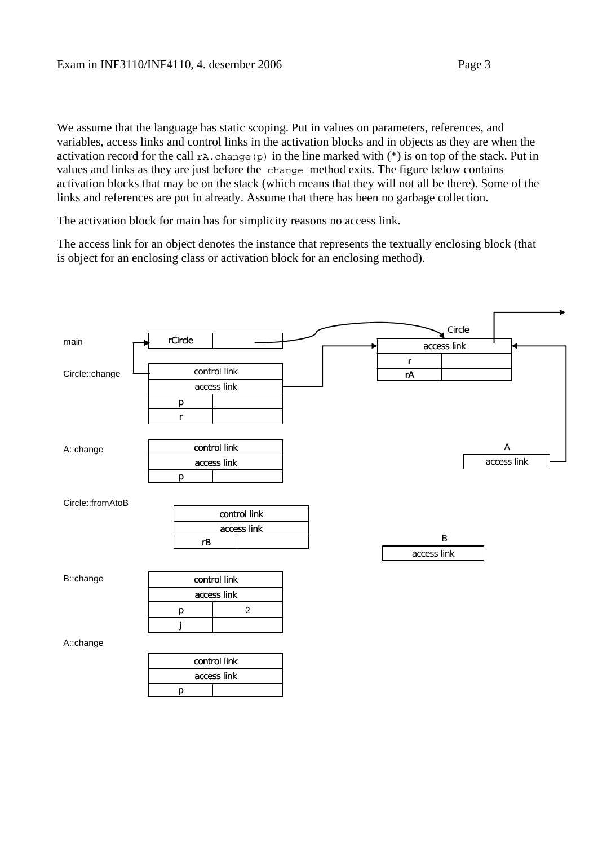We assume that the language has static scoping. Put in values on parameters, references, and variables, access links and control links in the activation blocks and in objects as they are when the activation record for the call  $rA$ . change (p) in the line marked with  $(*)$  is on top of the stack. Put in values and links as they are just before the change method exits. The figure below contains activation blocks that may be on the stack (which means that they will not all be there). Some of the links and references are put in already. Assume that there has been no garbage collection.

The activation block for main has for simplicity reasons no access link.

The access link for an object denotes the instance that represents the textually enclosing block (that is object for an enclosing class or activation block for an enclosing method).

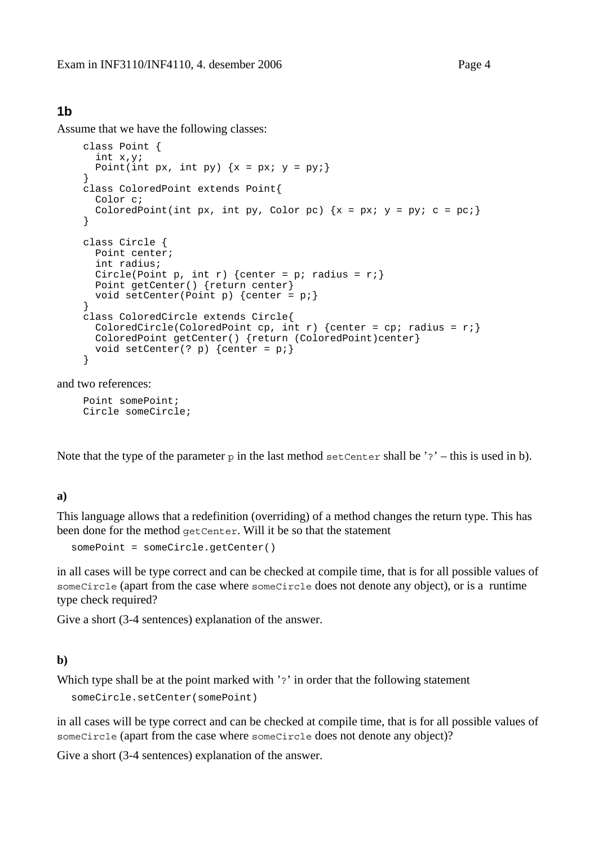#### **1b**

Assume that we have the following classes:

```
 class Point { 
   int x,y; 
  Point(int px, int py) \{x = px; y = py\} } 
 class ColoredPoint extends Point{ 
   Color c; 
  ColoredPoint(int px, int py, Color pc) \{x = px; y = py; c = pc\} } 
 class Circle { 
   Point center; 
   int radius; 
  Circle(Point p, int r) {center = p; radius = r;}
   Point getCenter() {return center} 
 void setCenter(Point p) \{center = pi\} } 
 class ColoredCircle extends Circle{ 
  ColoredCircle(ColoredPoint cp, int r) {center = cp; radius = r; }
   ColoredPoint getCenter() {return (ColoredPoint)center} 
  void setCenter(? p) \{center = pi\} }
```
and two references:

 Point somePoint; Circle someCircle;

Note that the type of the parameter p in the last method set Center shall be '?' – this is used in b).

#### **a)**

This language allows that a redefinition (overriding) of a method changes the return type. This has been done for the method getCenter. Will it be so that the statement

somePoint = someCircle.getCenter()

in all cases will be type correct and can be checked at compile time, that is for all possible values of someCircle (apart from the case where someCircle does not denote any object), or is a runtime type check required?

Give a short (3-4 sentences) explanation of the answer.

#### **b)**

Which type shall be at the point marked with '?' in order that the following statement

someCircle.setCenter(somePoint)

in all cases will be type correct and can be checked at compile time, that is for all possible values of someCircle (apart from the case where someCircle does not denote any object)?

Give a short (3-4 sentences) explanation of the answer.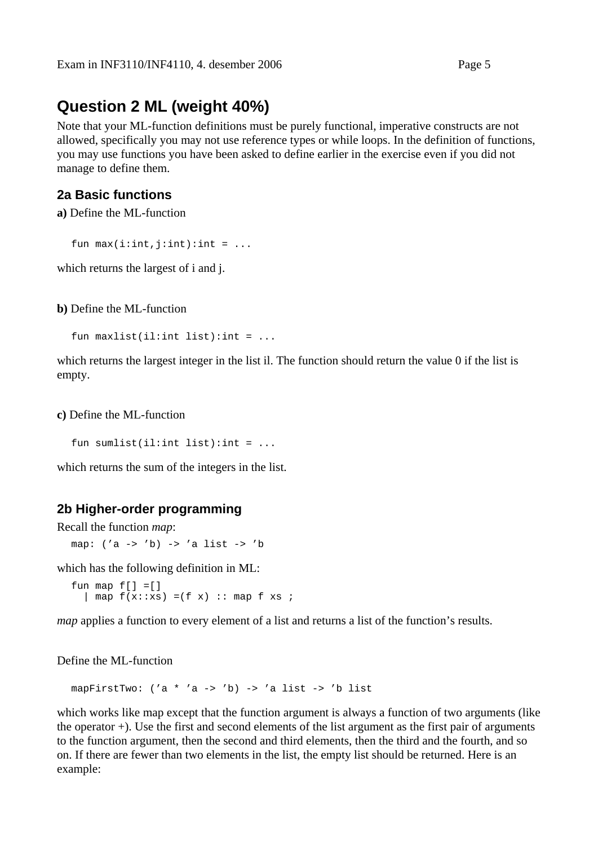## <span id="page-4-0"></span>**Question 2 ML (weight 40%)**

Note that your ML-function definitions must be purely functional, imperative constructs are not allowed, specifically you may not use reference types or while loops. In the definition of functions, you may use functions you have been asked to define earlier in the exercise even if you did not manage to define them.

#### **2a Basic functions**

**a)** Define the ML-function

fun  $max(i:int, j:int):int = ...$ 

which returns the largest of i and j.

**b)** Define the ML-function

fun  $maxlist(i1:int list):int = ...$ 

which returns the largest integer in the list il. The function should return the value 0 if the list is empty.

**c)** Define the ML-function

fun sumlist(il:int list):int =  $\dots$ 

which returns the sum of the integers in the list.

#### **2b Higher-order programming**

Recall the function *map*:

map: ('a -> 'b) -> 'a list -> 'b

which has the following definition in ML:

fun map  $f[] = []$  $\lceil \begin{array}{c} 1 \text{ map } f(x \colon x) = (f(x) \colon x \text{ map } f(x) \leq f(x) \end{array} \rceil$ 

*map* applies a function to every element of a list and returns a list of the function's results.

Define the ML-function

mapFirstTwo:  $(a * 'a -> 'b) \rightarrow 'a$  list  $\rightarrow 'b$  list

which works like map except that the function argument is always a function of two arguments (like the operator +). Use the first and second elements of the list argument as the first pair of arguments to the function argument, then the second and third elements, then the third and the fourth, and so on. If there are fewer than two elements in the list, the empty list should be returned. Here is an example: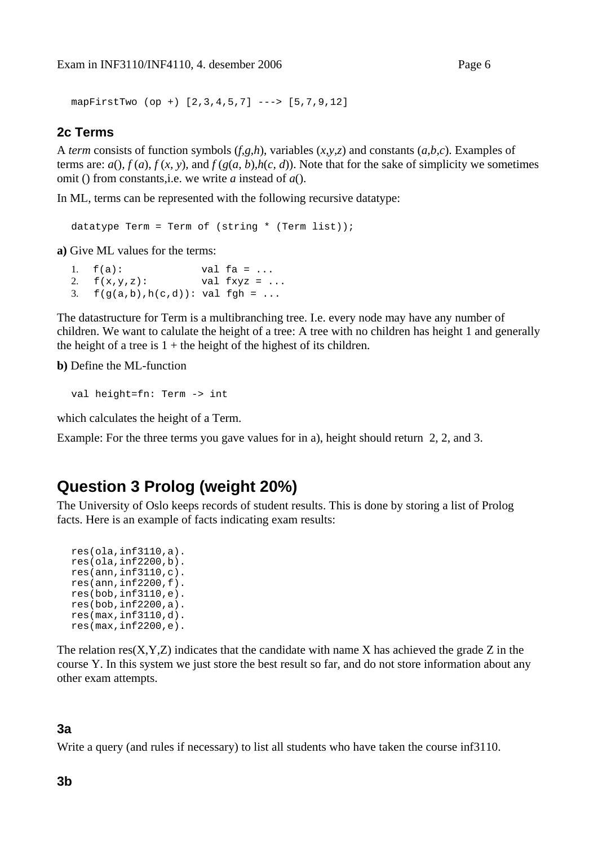<span id="page-5-0"></span>mapFirstTwo (op +) [2,3,4,5,7] ---> [5,7,9,12]

#### **2c Terms**

A *term* consists of function symbols (*f,g,h*), variables (*x,y,z*) and constants (*a,b,c*). Examples of terms are:  $a()$ ,  $f(a)$ ,  $f(x, y)$ , and  $f(g(a, b), h(c, d))$ . Note that for the sake of simplicity we sometimes omit () from constants,i.e. we write *a* instead of *a*().

In ML, terms can be represented with the following recursive datatype:

datatype Term = Term of (string  $*$  (Term list));

**a)** Give ML values for the terms:

1.  $f(a)$ : val  $fa = ...$ 2.  $f(x,y,z)$ : val  $fxyz = ...$ 3.  $f(g(a,b), h(c,d))$ : val fgh = ...

The datastructure for Term is a multibranching tree. I.e. every node may have any number of children. We want to calulate the height of a tree: A tree with no children has height 1 and generally the height of a tree is  $1 +$  the height of the highest of its children.

**b)** Define the ML-function

val height=fn: Term -> int

which calculates the height of a Term.

Example: For the three terms you gave values for in a), height should return 2, 2, and 3.

## **Question 3 Prolog (weight 20%)**

The University of Oslo keeps records of student results. This is done by storing a list of Prolog facts. Here is an example of facts indicating exam results:

```
res(ola,inf3110,a). 
res(ola,inf2200,b). 
res(ann,inf3110,c). 
res(ann, inf2200, f).
res(bob,inf3110,e). 
res(bob,inf2200,a). 
res(max,inf3110,d). 
res(max,inf2200,e).
```
The relation  $res(X, Y, Z)$  indicates that the candidate with name X has achieved the grade Z in the course Y. In this system we just store the best result so far, and do not store information about any other exam attempts.

#### **3a**

Write a query (and rules if necessary) to list all students who have taken the course inf3110.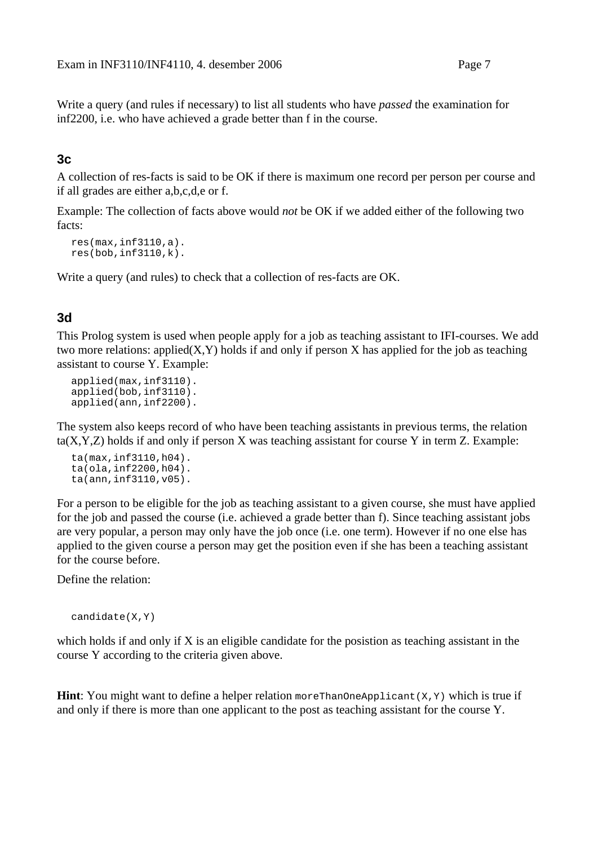Write a query (and rules if necessary) to list all students who have *passed* the examination for inf2200, i.e. who have achieved a grade better than f in the course.

### **3c**

A collection of res-facts is said to be OK if there is maximum one record per person per course and if all grades are either a,b,c,d,e or f.

Example: The collection of facts above would *not* be OK if we added either of the following two facts:

```
res(max,inf3110,a). 
res(bob,inf3110,k).
```
Write a query (and rules) to check that a collection of res-facts are OK.

### **3d**

This Prolog system is used when people apply for a job as teaching assistant to IFI-courses. We add two more relations: applied $(X, Y)$  holds if and only if person X has applied for the job as teaching assistant to course Y. Example:

```
applied(max,inf3110). 
applied(bob,inf3110). 
applied(ann,inf2200).
```
The system also keeps record of who have been teaching assistants in previous terms, the relation  $ta(X, Y, Z)$  holds if and only if person X was teaching assistant for course Y in term Z. Example:

```
ta(max,inf3110,h04). 
ta(ola,inf2200,h04). 
ta(ann,inf3110,v05).
```
For a person to be eligible for the job as teaching assistant to a given course, she must have applied for the job and passed the course (i.e. achieved a grade better than f). Since teaching assistant jobs are very popular, a person may only have the job once (i.e. one term). However if no one else has applied to the given course a person may get the position even if she has been a teaching assistant for the course before.

Define the relation:

```
candidate(X,Y)
```
which holds if and only if  $X$  is an eligible candidate for the posistion as teaching assistant in the course Y according to the criteria given above.

**Hint**: You might want to define a helper relation more ThanOneApplicant(X,Y) which is true if and only if there is more than one applicant to the post as teaching assistant for the course Y.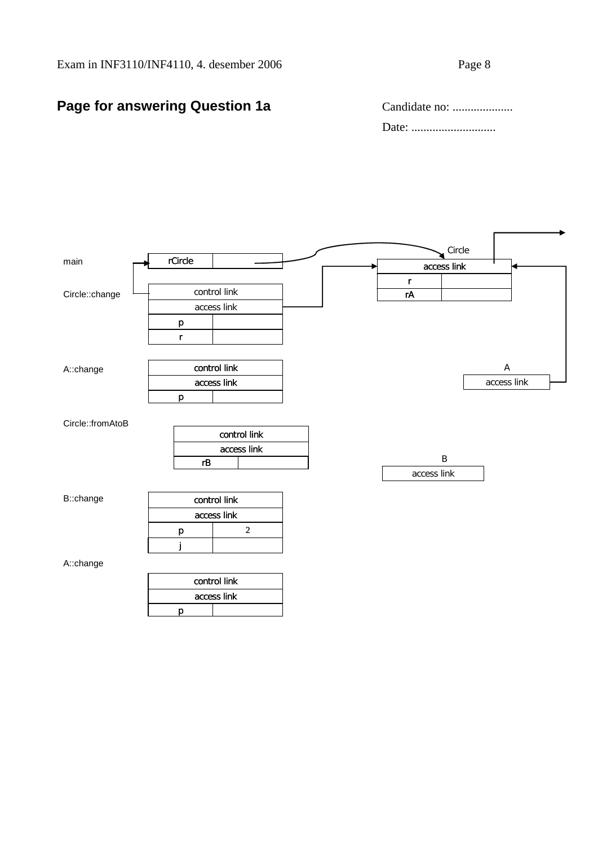## **Page for answering Question 1a Candid Candid**

| Page for answering Question 1a | Candidate no: |
|--------------------------------|---------------|
|                                |               |